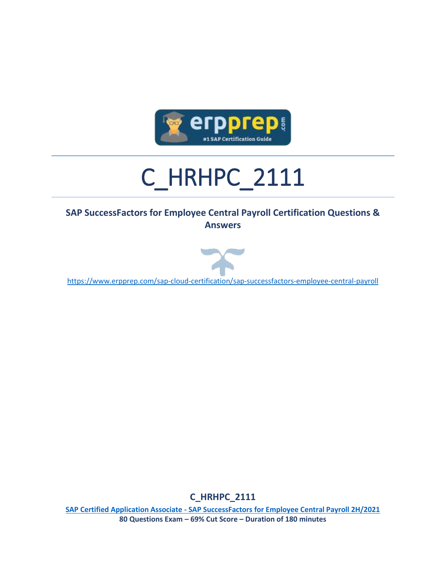

# C\_HRHPC\_2111

#### **SAP SuccessFactors for Employee Central Payroll Certification Questions & Answers**



<https://www.erpprep.com/sap-cloud-certification/sap-successfactors-employee-central-payroll>

**C\_HRHPC\_2111**

**SAP Certified Application Associate - [SAP SuccessFactors for Employee Central Payroll 2H/2021](https://training.sap.com/certification/c_hrhpc_2111-sap-certified-application-associate---sap-successfactors-for-employee-central-payroll-2h2021-g/) 80 Questions Exam – 69% Cut Score – Duration of 180 minutes**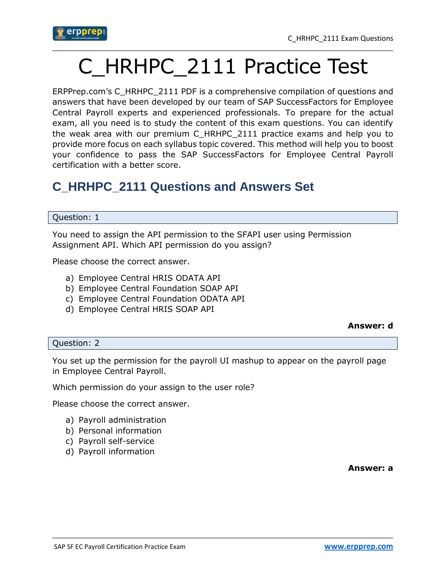

## C\_HRHPC\_2111 Practice Test

ERPPrep.com's C\_HRHPC\_2111 PDF is a comprehensive compilation of questions and answers that have been developed by our team of SAP SuccessFactors for Employee Central Payroll experts and experienced professionals. To prepare for the actual exam, all you need is to study the content of this exam questions. You can identify the weak area with our premium C\_HRHPC\_2111 practice exams and help you to provide more focus on each syllabus topic covered. This method will help you to boost your confidence to pass the SAP SuccessFactors for Employee Central Payroll certification with a better score.

## **C\_HRHPC\_2111 Questions and Answers Set**

#### Question: 1

You need to assign the API permission to the SFAPI user using Permission Assignment API. Which API permission do you assign?

Please choose the correct answer.

- a) Employee Central HRIS ODATA API
- b) Employee Central Foundation SOAP API
- c) Employee Central Foundation ODATA API
- d) Employee Central HRIS SOAP API

#### **Answer: d**

#### Question: 2

You set up the permission for the payroll UI mashup to appear on the payroll page in Employee Central Payroll.

Which permission do your assign to the user role?

Please choose the correct answer.

- a) Payroll administration
- b) Personal information
- c) Payroll self-service
- d) Payroll information

**Answer: a**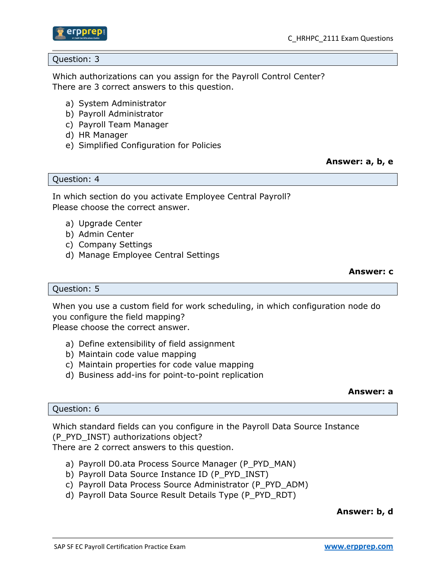

#### Question: 3

Which authorizations can you assign for the Payroll Control Center? There are 3 correct answers to this question.

- a) System Administrator
- b) Payroll Administrator
- c) Payroll Team Manager
- d) HR Manager
- e) Simplified Configuration for Policies

**Answer: a, b, e**

Question: 4

In which section do you activate Employee Central Payroll? Please choose the correct answer.

- a) Upgrade Center
- b) Admin Center
- c) Company Settings
- d) Manage Employee Central Settings

**Answer: c**

#### Question: 5

When you use a custom field for work scheduling, in which configuration node do you configure the field mapping? Please choose the correct answer.

- a) Define extensibility of field assignment
- b) Maintain code value mapping
- c) Maintain properties for code value mapping
- d) Business add-ins for point-to-point replication

#### **Answer: a**

#### Question: 6

Which standard fields can you configure in the Payroll Data Source Instance (P\_PYD\_INST) authorizations object? There are 2 correct answers to this question.

- a) Payroll D0.ata Process Source Manager (P\_PYD\_MAN)
- b) Payroll Data Source Instance ID (P\_PYD\_INST)
- c) Payroll Data Process Source Administrator (P\_PYD\_ADM)
- d) Payroll Data Source Result Details Type (P\_PYD\_RDT)

#### **Answer: b, d**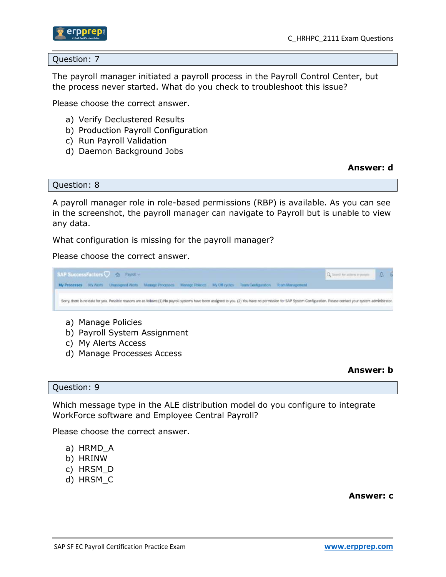

Question: 7

The payroll manager initiated a payroll process in the Payroll Control Center, but the process never started. What do you check to troubleshoot this issue?

Please choose the correct answer.

- a) Verify Declustered Results
- b) Production Payroll Configuration
- c) Run Payroll Validation
- d) Daemon Background Jobs

**Answer: d**

Question: 8

A payroll manager role in role-based permissions (RBP) is available. As you can see in the screenshot, the payroll manager can navigate to Payroll but is unable to view any data.

What configuration is missing for the payroll manager?

Please choose the correct answer.



- a) Manage Policies
- b) Payroll System Assignment
- c) My Alerts Access
- d) Manage Processes Access

**Answer: b**

#### Question: 9

Which message type in the ALE distribution model do you configure to integrate WorkForce software and Employee Central Payroll?

Please choose the correct answer.

- a) HRMD\_A
- b) HRINW
- c) HRSM\_D
- d) HRSM\_C

**Answer: c**